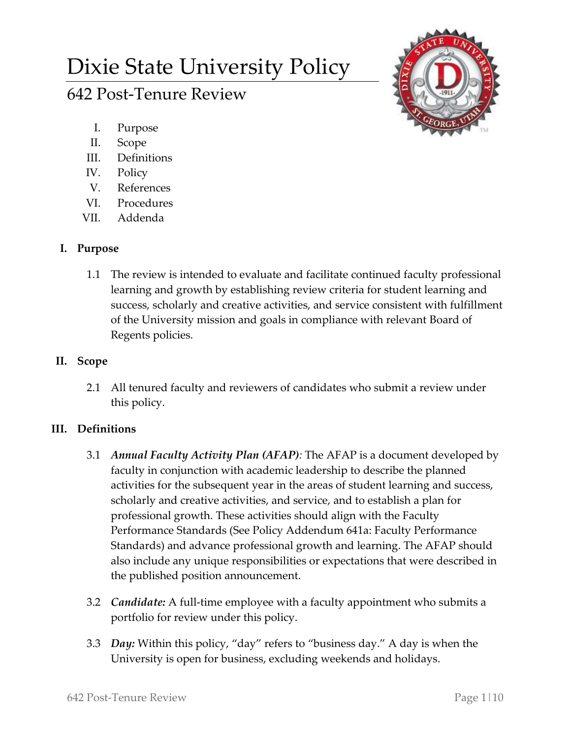# Dixie State University Policy

# 642 Post-Tenure Review

- I. Purpose
- II. Scope
- III. Definitions
- IV. Policy
- V. References
- VI. Procedures
- VII. Addenda

# **I. Purpose**

1.1 The review is intended to evaluate and facilitate continued faculty professional learning and growth by establishing review criteria for student learning and success, scholarly and creative activities, and service consistent with fulfillment of the University mission and goals in compliance with relevant Board of Regents policies.

## **II. Scope**

2.1 All tenured faculty and reviewers of candidates who submit a review under this policy.

# **III. Definitions**

- 3.1 *Annual Faculty Activity Plan (AFAP):* The AFAP is a document developed by faculty in conjunction with academic leadership to describe the planned activities for the subsequent year in the areas of student learning and success, scholarly and creative activities, and service, and to establish a plan for professional growth. These activities should align with the Faculty Performance Standards (See Policy Addendum 641a: Faculty Performance Standards) and advance professional growth and learning. The AFAP should also include any unique responsibilities or expectations that were described in the published position announcement.
- 3.2 *Candidate:* A full-time employee with a faculty appointment who submits a portfolio for review under this policy.
- 3.3 *Day:* Within this policy, "day" refers to "business day." A day is when the University is open for business, excluding weekends and holidays.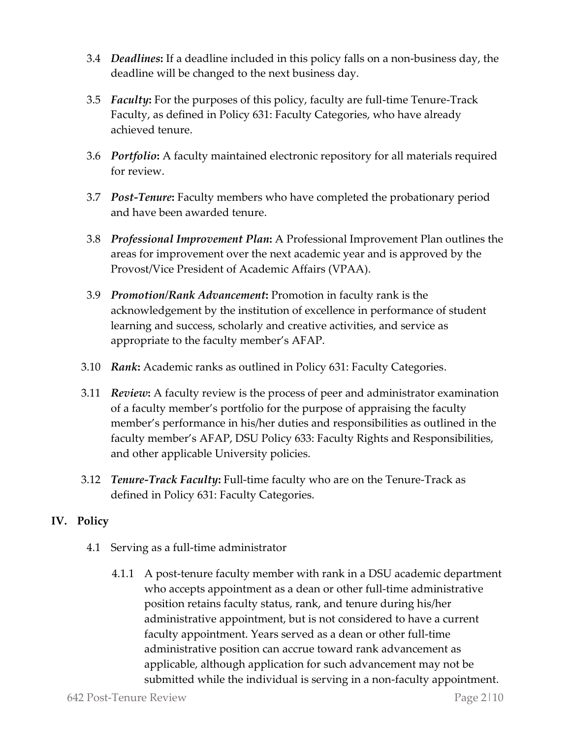- 3.4 *Deadlines***:** If a deadline included in this policy falls on a non-business day, the deadline will be changed to the next business day.
- 3.5 *Faculty***:** For the purposes of this policy, faculty are full-time Tenure-Track Faculty, as defined in Policy 631: Faculty Categories, who have already achieved tenure.
- 3.6 *Portfolio***:** A faculty maintained electronic repository for all materials required for review.
- 3.7 *Post-Tenure***:** Faculty members who have completed the probationary period and have been awarded tenure.
- 3.8 *Professional Improvement Plan***:** A Professional Improvement Plan outlines the areas for improvement over the next academic year and is approved by the Provost/Vice President of Academic Affairs (VPAA).
- 3.9 *Promotion/Rank Advancement***:** Promotion in faculty rank is the acknowledgement by the institution of excellence in performance of student learning and success, scholarly and creative activities, and service as appropriate to the faculty member's AFAP.
- 3.10 *Rank***:** Academic ranks as outlined in Policy 631: Faculty Categories.
- 3.11 *Review***:** A faculty review is the process of peer and administrator examination of a faculty member's portfolio for the purpose of appraising the faculty member's performance in his/her duties and responsibilities as outlined in the faculty member's AFAP, DSU Policy 633: Faculty Rights and Responsibilities, and other applicable University policies.
- 3.12 *Tenure-Track Faculty***:** Full-time faculty who are on the Tenure-Track as defined in Policy 631: Faculty Categories.

### **IV. Policy**

- 4.1 Serving as a full-time administrator
	- 4.1.1 A post-tenure faculty member with rank in a DSU academic department who accepts appointment as a dean or other full-time administrative position retains faculty status, rank, and tenure during his/her administrative appointment, but is not considered to have a current faculty appointment. Years served as a dean or other full-time administrative position can accrue toward rank advancement as applicable, although application for such advancement may not be submitted while the individual is serving in a non-faculty appointment.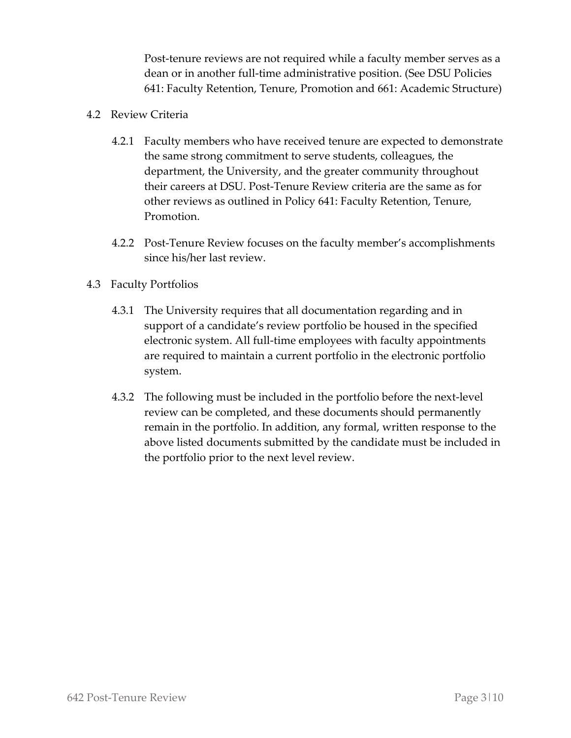Post-tenure reviews are not required while a faculty member serves as a dean or in another full-time administrative position. (See DSU Policies 641: Faculty Retention, Tenure, Promotion and 661: Academic Structure)

- 4.2 Review Criteria
	- 4.2.1 Faculty members who have received tenure are expected to demonstrate the same strong commitment to serve students, colleagues, the department, the University, and the greater community throughout their careers at DSU. Post-Tenure Review criteria are the same as for other reviews as outlined in Policy 641: Faculty Retention, Tenure, Promotion.
	- 4.2.2 Post-Tenure Review focuses on the faculty member's accomplishments since his/her last review.
- 4.3 Faculty Portfolios
	- 4.3.1 The University requires that all documentation regarding and in support of a candidate's review portfolio be housed in the specified electronic system. All full-time employees with faculty appointments are required to maintain a current portfolio in the electronic portfolio system.
	- 4.3.2 The following must be included in the portfolio before the next-level review can be completed, and these documents should permanently remain in the portfolio. In addition, any formal, written response to the above listed documents submitted by the candidate must be included in the portfolio prior to the next level review.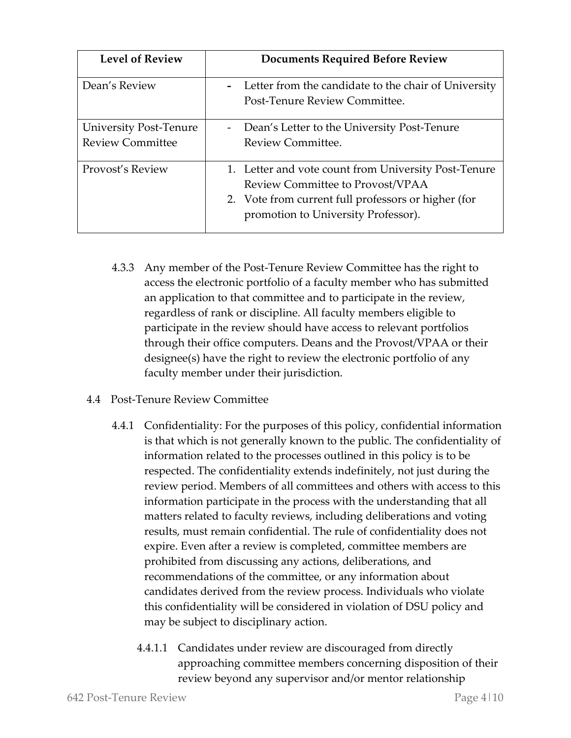| <b>Level of Review</b>                            | <b>Documents Required Before Review</b>                                                                                                                                                |
|---------------------------------------------------|----------------------------------------------------------------------------------------------------------------------------------------------------------------------------------------|
| Dean's Review                                     | Letter from the candidate to the chair of University<br>Post-Tenure Review Committee.                                                                                                  |
| University Post-Tenure<br><b>Review Committee</b> | Dean's Letter to the University Post-Tenure<br>$\sim$<br>Review Committee.                                                                                                             |
| Provost's Review                                  | 1. Letter and vote count from University Post-Tenure<br>Review Committee to Provost/VPAA<br>2. Vote from current full professors or higher (for<br>promotion to University Professor). |

- 4.3.3 Any member of the Post-Tenure Review Committee has the right to access the electronic portfolio of a faculty member who has submitted an application to that committee and to participate in the review, regardless of rank or discipline. All faculty members eligible to participate in the review should have access to relevant portfolios through their office computers. Deans and the Provost/VPAA or their designee(s) have the right to review the electronic portfolio of any faculty member under their jurisdiction.
- 4.4 Post-Tenure Review Committee
	- 4.4.1 Confidentiality: For the purposes of this policy, confidential information is that which is not generally known to the public. The confidentiality of information related to the processes outlined in this policy is to be respected. The confidentiality extends indefinitely, not just during the review period. Members of all committees and others with access to this information participate in the process with the understanding that all matters related to faculty reviews, including deliberations and voting results, must remain confidential. The rule of confidentiality does not expire. Even after a review is completed, committee members are prohibited from discussing any actions, deliberations, and recommendations of the committee, or any information about candidates derived from the review process. Individuals who violate this confidentiality will be considered in violation of DSU policy and may be subject to disciplinary action.
		- 4.4.1.1 Candidates under review are discouraged from directly approaching committee members concerning disposition of their review beyond any supervisor and/or mentor relationship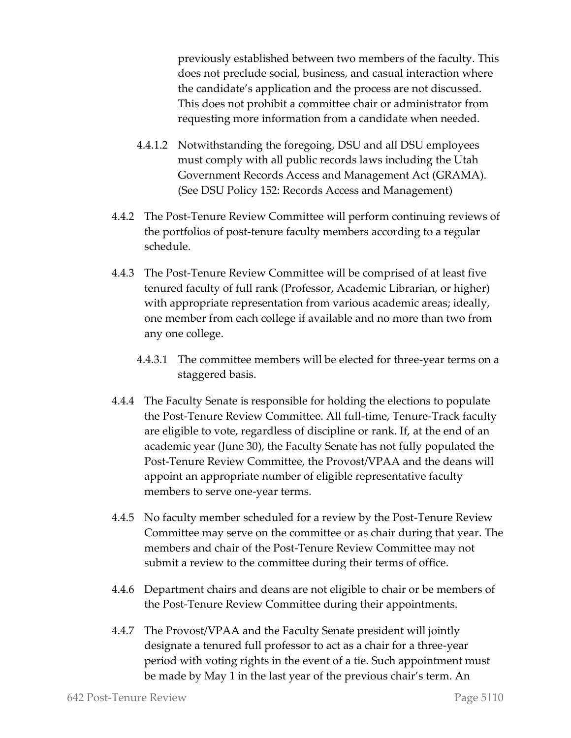previously established between two members of the faculty. This does not preclude social, business, and casual interaction where the candidate's application and the process are not discussed. This does not prohibit a committee chair or administrator from requesting more information from a candidate when needed.

- 4.4.1.2 Notwithstanding the foregoing, DSU and all DSU employees must comply with all public records laws including the Utah Government Records Access and Management Act (GRAMA). (See DSU Policy 152: Records Access and Management)
- 4.4.2 The Post-Tenure Review Committee will perform continuing reviews of the portfolios of post-tenure faculty members according to a regular schedule.
- 4.4.3 The Post-Tenure Review Committee will be comprised of at least five tenured faculty of full rank (Professor, Academic Librarian, or higher) with appropriate representation from various academic areas; ideally, one member from each college if available and no more than two from any one college.
	- 4.4.3.1 The committee members will be elected for three-year terms on a staggered basis.
- 4.4.4 The Faculty Senate is responsible for holding the elections to populate the Post-Tenure Review Committee. All full-time, Tenure-Track faculty are eligible to vote, regardless of discipline or rank. If, at the end of an academic year (June 30), the Faculty Senate has not fully populated the Post-Tenure Review Committee, the Provost/VPAA and the deans will appoint an appropriate number of eligible representative faculty members to serve one-year terms.
- 4.4.5 No faculty member scheduled for a review by the Post-Tenure Review Committee may serve on the committee or as chair during that year. The members and chair of the Post-Tenure Review Committee may not submit a review to the committee during their terms of office.
- 4.4.6 Department chairs and deans are not eligible to chair or be members of the Post-Tenure Review Committee during their appointments.
- 4.4.7 The Provost/VPAA and the Faculty Senate president will jointly designate a tenured full professor to act as a chair for a three-year period with voting rights in the event of a tie. Such appointment must be made by May 1 in the last year of the previous chair's term. An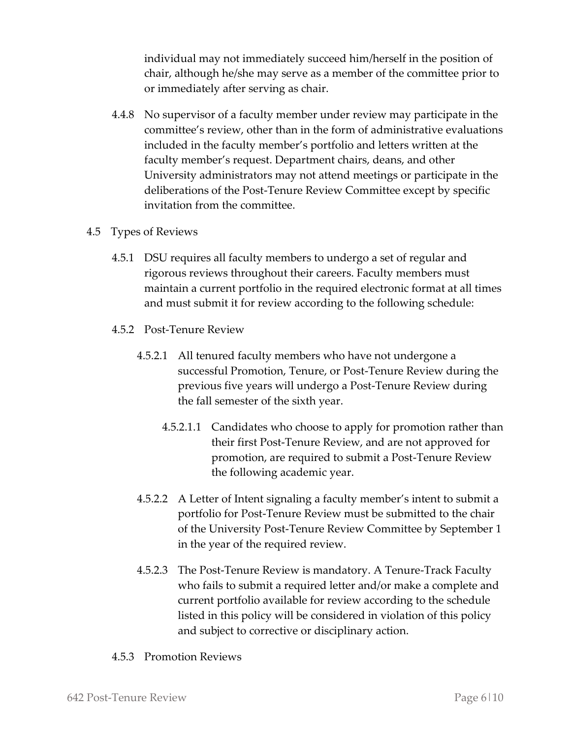individual may not immediately succeed him/herself in the position of chair, although he/she may serve as a member of the committee prior to or immediately after serving as chair.

4.4.8 No supervisor of a faculty member under review may participate in the committee's review, other than in the form of administrative evaluations included in the faculty member's portfolio and letters written at the faculty member's request. Department chairs, deans, and other University administrators may not attend meetings or participate in the deliberations of the Post-Tenure Review Committee except by specific invitation from the committee.

#### 4.5 Types of Reviews

- 4.5.1 DSU requires all faculty members to undergo a set of regular and rigorous reviews throughout their careers. Faculty members must maintain a current portfolio in the required electronic format at all times and must submit it for review according to the following schedule:
- 4.5.2 Post-Tenure Review
	- 4.5.2.1 All tenured faculty members who have not undergone a successful Promotion, Tenure, or Post-Tenure Review during the previous five years will undergo a Post-Tenure Review during the fall semester of the sixth year.
		- 4.5.2.1.1 Candidates who choose to apply for promotion rather than their first Post-Tenure Review, and are not approved for promotion, are required to submit a Post-Tenure Review the following academic year.
	- 4.5.2.2 A Letter of Intent signaling a faculty member's intent to submit a portfolio for Post-Tenure Review must be submitted to the chair of the University Post-Tenure Review Committee by September 1 in the year of the required review.
	- 4.5.2.3 The Post-Tenure Review is mandatory. A Tenure-Track Faculty who fails to submit a required letter and/or make a complete and current portfolio available for review according to the schedule listed in this policy will be considered in violation of this policy and subject to corrective or disciplinary action.

#### 4.5.3 Promotion Reviews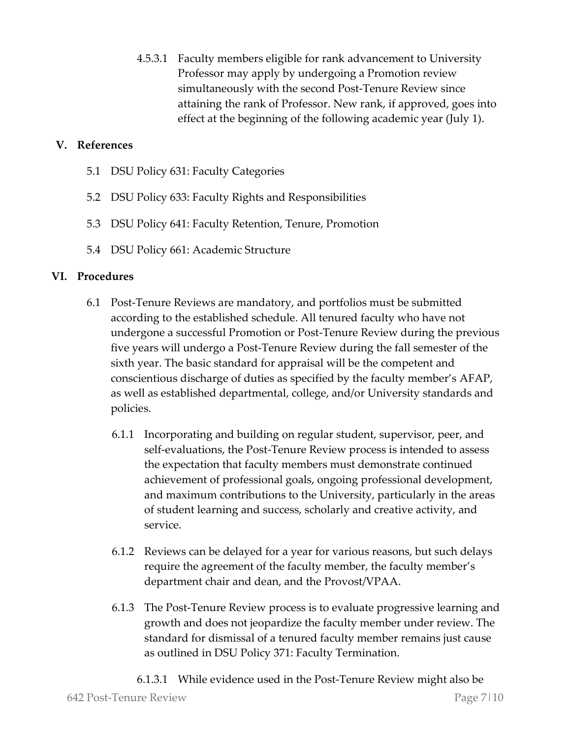4.5.3.1 Faculty members eligible for rank advancement to University Professor may apply by undergoing a Promotion review simultaneously with the second Post-Tenure Review since attaining the rank of Professor. New rank, if approved, goes into effect at the beginning of the following academic year (July 1).

#### **V. References**

- 5.1 DSU Policy 631: Faculty Categories
- 5.2 DSU Policy 633: Faculty Rights and Responsibilities
- 5.3 DSU Policy 641: Faculty Retention, Tenure, Promotion
- 5.4 DSU Policy 661: Academic Structure

#### **VI. Procedures**

- 6.1 Post-Tenure Reviews are mandatory, and portfolios must be submitted according to the established schedule. All tenured faculty who have not undergone a successful Promotion or Post-Tenure Review during the previous five years will undergo a Post-Tenure Review during the fall semester of the sixth year. The basic standard for appraisal will be the competent and conscientious discharge of duties as specified by the faculty member's AFAP, as well as established departmental, college, and/or University standards and policies.
	- 6.1.1 Incorporating and building on regular student, supervisor, peer, and self-evaluations, the Post-Tenure Review process is intended to assess the expectation that faculty members must demonstrate continued achievement of professional goals, ongoing professional development, and maximum contributions to the University, particularly in the areas of student learning and success, scholarly and creative activity, and service.
	- 6.1.2 Reviews can be delayed for a year for various reasons, but such delays require the agreement of the faculty member, the faculty member's department chair and dean, and the Provost/VPAA.
	- 6.1.3 The Post-Tenure Review process is to evaluate progressive learning and growth and does not jeopardize the faculty member under review. The standard for dismissal of a tenured faculty member remains just cause as outlined in DSU Policy 371: Faculty Termination.
		- 6.1.3.1 While evidence used in the Post-Tenure Review might also be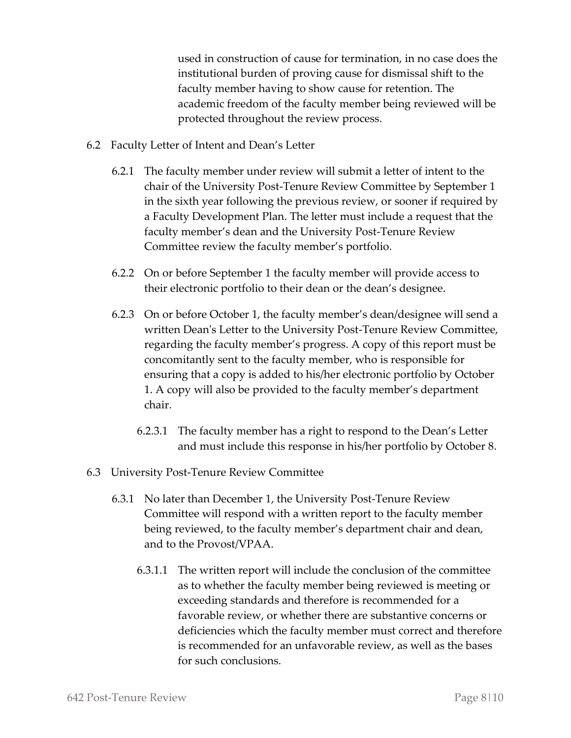used in construction of cause for termination, in no case does the institutional burden of proving cause for dismissal shift to the faculty member having to show cause for retention. The academic freedom of the faculty member being reviewed will be protected throughout the review process.

- 6.2 Faculty Letter of Intent and Dean's Letter
	- 6.2.1 The faculty member under review will submit a letter of intent to the chair of the University Post-Tenure Review Committee by September 1 in the sixth year following the previous review, or sooner if required by a Faculty Development Plan. The letter must include a request that the faculty member's dean and the University Post-Tenure Review Committee review the faculty member's portfolio.
	- 6.2.2 On or before September 1 the faculty member will provide access to their electronic portfolio to their dean or the dean's designee.
	- 6.2.3 On or before October 1, the faculty member's dean/designee will send a written Dean's Letter to the University Post-Tenure Review Committee, regarding the faculty member's progress. A copy of this report must be concomitantly sent to the faculty member, who is responsible for ensuring that a copy is added to his/her electronic portfolio by October 1. A copy will also be provided to the faculty member's department chair.
		- 6.2.3.1 The faculty member has a right to respond to the Dean's Letter and must include this response in his/her portfolio by October 8.
- 6.3 University Post-Tenure Review Committee
	- 6.3.1 No later than December 1, the University Post-Tenure Review Committee will respond with a written report to the faculty member being reviewed, to the faculty member's department chair and dean, and to the Provost/VPAA.
		- 6.3.1.1 The written report will include the conclusion of the committee as to whether the faculty member being reviewed is meeting or exceeding standards and therefore is recommended for a favorable review, or whether there are substantive concerns or deficiencies which the faculty member must correct and therefore is recommended for an unfavorable review, as well as the bases for such conclusions.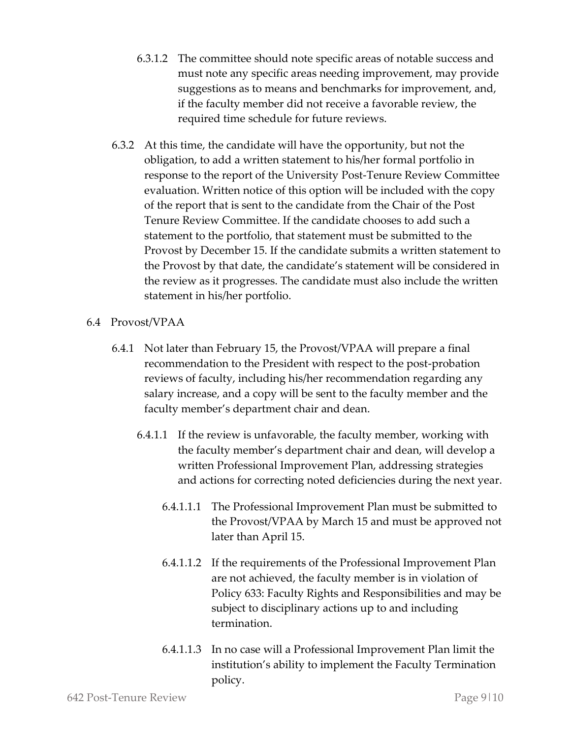- 6.3.1.2 The committee should note specific areas of notable success and must note any specific areas needing improvement, may provide suggestions as to means and benchmarks for improvement, and, if the faculty member did not receive a favorable review, the required time schedule for future reviews.
- 6.3.2 At this time, the candidate will have the opportunity, but not the obligation, to add a written statement to his/her formal portfolio in response to the report of the University Post-Tenure Review Committee evaluation. Written notice of this option will be included with the copy of the report that is sent to the candidate from the Chair of the Post Tenure Review Committee. If the candidate chooses to add such a statement to the portfolio, that statement must be submitted to the Provost by December 15. If the candidate submits a written statement to the Provost by that date, the candidate's statement will be considered in the review as it progresses. The candidate must also include the written statement in his/her portfolio.

#### 6.4 Provost/VPAA

- 6.4.1 Not later than February 15, the Provost/VPAA will prepare a final recommendation to the President with respect to the post-probation reviews of faculty, including his/her recommendation regarding any salary increase, and a copy will be sent to the faculty member and the faculty member's department chair and dean.
	- 6.4.1.1 If the review is unfavorable, the faculty member, working with the faculty member's department chair and dean, will develop a written Professional Improvement Plan, addressing strategies and actions for correcting noted deficiencies during the next year.
		- 6.4.1.1.1 The Professional Improvement Plan must be submitted to the Provost/VPAA by March 15 and must be approved not later than April 15.
		- 6.4.1.1.2 If the requirements of the Professional Improvement Plan are not achieved, the faculty member is in violation of Policy 633: Faculty Rights and Responsibilities and may be subject to disciplinary actions up to and including termination.
		- 6.4.1.1.3 In no case will a Professional Improvement Plan limit the institution's ability to implement the Faculty Termination policy.